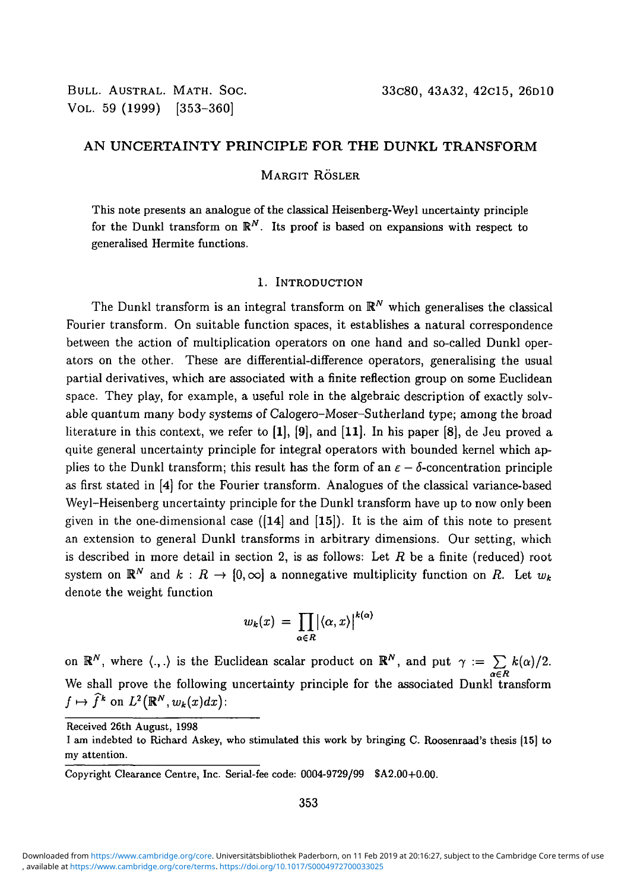## **AN UNCERTAINTY PRINCIPLE FOR THE DUNKL TRANSFORM**

MARGIT RÖSLER

This note presents an analogue of the classical Heisenberg-Weyl uncertainty principle for the Dunkl transform on  $\mathbb{R}^N$ . Its proof is based on expansions with respect to generalised Hermite functions.

#### 1. INTRODUCTION

The Dunkl transform is an integral transform on  $\mathbb{R}^N$  which generalises the classical Fourier transform. On suitable function spaces, it establishes a natural correspondence between the action of multiplication operators on one hand and so-called Dunkl operators on the other. These are differential-difference operators, generalising the usual partial derivatives, which are associated with a finite reflection group on some Euclidean space. They play, for example, a useful role in the algebraic description of exactly solvable quantum many body systems of Calogero-Moser-Sutherland type; among the broad literature in this context, we refer to **[1],** [9], and [11]. In his paper [8], de Jeu proved a quite general uncertainty principle for integral operators with bounded kernel which applies to the Dunkl transform; this result has the form of an  $\varepsilon - \delta$ -concentration principle as first stated in [4] for the Fourier transform. Analogues of the classical variance-based Weyl-Heisenberg uncertainty principle for the Dunkl transform have up to now only been given in the one-dimensional case  $([14]$  and  $[15]$ ). It is the aim of this note to present an extension to general Dunkl transforms in arbitrary dimensions. Our setting, which is described in more detail in section 2, is as follows: Let *R* be a finite (reduced) root system on  $\mathbb{R}^N$  and  $k : R \to [0, \infty]$  a nonnegative multiplicity function on R. Let  $w_k$ denote the weight function

$$
w_k(x) = \prod_{\alpha \in R} \bigl| \langle \alpha, x \rangle \bigr|^{k(\alpha)}
$$

on  $\mathbb{R}^N$ , where  $\langle .,.\rangle$  is the Euclidean scalar product on  $\mathbb{R}^N$ , and put  $\gamma := \sum k(\alpha)/2$ . *a€R* We shall prove the following uncertainty principle for the associated Dunkl transform  $f \mapsto \hat{f}^k$  on  $L^2(\mathbb{R}^N, w_k(x)dx)$ :

Received 26th August, 1998

I am indebted to Richard Askey, who stimulated this work by bringing C. Roosenraad's thesis [15] to my attention.

Copyright Clearance Centre, Inc. Serial-fee code: 0004-9729/99 SA2.00+0.00.

<sup>,</sup> available at <https://www.cambridge.org/core/terms>. <https://doi.org/10.1017/S0004972700033025> Downloaded from [https://www.cambridge.org/core.](https://www.cambridge.org/core) Universitätsbibliothek Paderborn, on 11 Feb 2019 at 20:16:27, subject to the Cambridge Core terms of use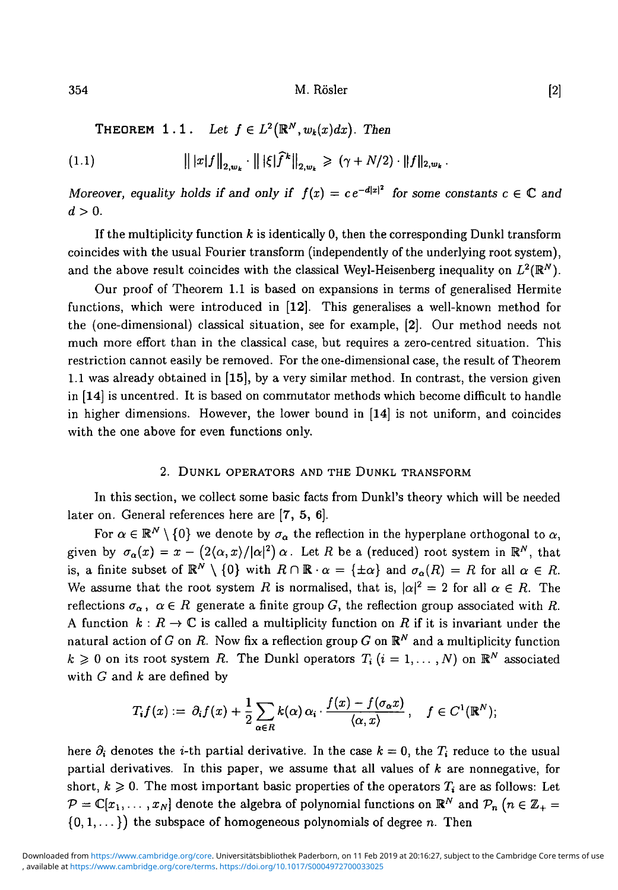354 M. Rösler (2)

**THEOREM** 1.1. Let  $f \in L^2(\mathbb{R}^N, w_k(x)dx)$ . Then

$$
||x|f||_{2,w_k} \cdot ||\xi|f^k||_{2,w_k} \geq (\gamma + N/2) \cdot ||f||_{2,w_k}.
$$

*Moreover, equality holds if and only if*  $f(x) = ce^{-d|x|^2}$  *for some constants*  $c \in \mathbb{C}$  and  $d>0$ .

If the multiplicity function *k* is identically 0, then the corresponding Dunkl transform coincides with the usual Fourier transform (independently of the underlying root system), and the above result coincides with the classical Weyl-Heisenberg inequality on  $L^2(\mathbb{R}^N)$ .

Our proof of Theorem 1.1 is based on expansions in terms of generalised Hermite functions, which were introduced in [12]. This generalises a well-known method for the (one-dimensional) classical situation, see for example, [2]. Our method needs not much more effort than in the classical case, but requires a zero-centred situation. This restriction cannot easily be removed. For the one-dimensional case, the result of Theorem 1.1 was already obtained in [15], by a very similar method. In contrast, the version given in [14] is uncentred. It is based on commutator methods which become difficult to handle in higher dimensions. However, the lower bound in [14] is not uniform, and coincides with the one above for even functions only.

#### 2. DUNKL OPERATORS AND THE DUNKL TRANSFORM

In this section, we collect some basic facts from Dunkl's theory which will be needed later on. General references here are [7, 5, 6].

For  $\alpha \in \mathbb{R}^N \setminus \{0\}$  we denote by  $\sigma_\alpha$  the reflection in the hyperplane orthogonal to  $\alpha$ , given by  $\sigma_\alpha(x) = x - (2\langle \alpha, x \rangle / |\alpha|^2) \, \alpha$ . Let  $R$  be a (reduced) root system in  $\mathbb{R}^N$ , that is, a finite subset of  $\mathbb{R}^N \setminus \{0\}$  with  $R \cap \mathbb{R} \cdot \alpha = \{\pm \alpha\}$  and  $\sigma_\alpha(R) = R$  for all  $\alpha \in R$ . We assume that the root system R is normalised, that is,  $|\alpha|^2 = 2$  for all  $\alpha \in R$ . The reflections  $\sigma_{\alpha}$ ,  $\alpha \in R$  generate a finite group *G*, the reflection group associated with *R*. A function  $k: R \to \mathbb{C}$  is called a multiplicity function on R if it is invariant under the natural action of *G* on *R*. Now fix a reflection group *G* on  $\mathbb{R}^N$  and a multiplicity function  $k \geqslant 0$  on its root system *R*. The Dunkl operators  $T_i$   $(i = 1, \ldots, N)$  on  $\mathbb{R}^N$  associated with *G* and *k* are defined by

$$
T_i f(x) := \partial_i f(x) + \frac{1}{2} \sum_{\alpha \in R} k(\alpha) \alpha_i \cdot \frac{f(x) - f(\sigma_\alpha x)}{\langle \alpha, x \rangle}, \quad f \in C^1(\mathbb{R}^N);
$$

here  $\partial_i$  denotes the *i*-th partial derivative. In the case  $k = 0$ , the  $T_i$  reduce to the usual partial derivatives. In this paper, we assume that all values of *k* are nonnegative, for short,  $k \ge 0$ . The most important basic properties of the operators  $T_i$  are as follows: Let  $\mathcal{P} = \mathbb{C}[x_1,\ldots,x_N]$  denote the algebra of polynomial functions on  $\mathbb{R}^N$  and  $\mathcal{P}_n$  ( $n \in \mathbb{Z}_+$  $\{0,1,\ldots\}$  the subspace of homogeneous polynomials of degree *n*. Then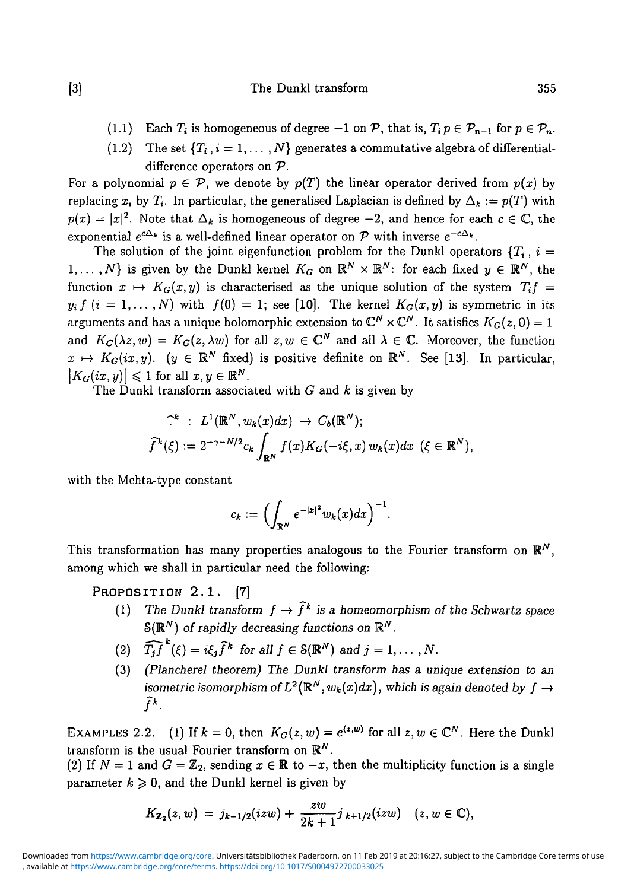- (1.1) Each  $T_i$  is homogeneous of degree  $-1$  on  $\mathcal{P}$ , that is,  $T_i p \in \mathcal{P}_{n-1}$  for  $p \in \mathcal{P}_n$ .
- (1.2) The set  $\{T_i, i = 1, \ldots, N\}$  generates a commutative algebra of differentialdifference operators on *V.*

For a polynomial  $p \in \mathcal{P}$ , we denote by  $p(T)$  the linear operator derived from  $p(x)$  by replacing x<sub>i</sub>, by  $T_i$ . In particular, the generalised Laplacian is defined by  $\Delta_k := p(T)$  with  $p(x) = |x|^2$ . Note that  $\Delta_k$  is homogeneous of degree  $-2$ , and hence for each  $c \in \mathbb{C}$ , the exponential  $e^{c\Delta_{\bm{k}}}$  is a well-defined linear operator on  ${\mathcal{P}}$  with inverse  $e^{-c\Delta_{\bm{k}}}$ .

The solution of the joint eigenfunction problem for the Dunkl operators  ${T_i, i =}$  $1,\ldots,N$ } is given by the Dunkl kernel  $K_G$  on  $\mathbb{R}^N\times\mathbb{R}^N$ : for each fixed  $y\in\mathbb{R}^N$ , the function  $x \mapsto K_G(x,y)$  is characterised as the unique solution of the system  $T_i f =$  $y_i f (i = 1, ..., N)$  with  $f(0) = 1$ ; see [10]. The kernel  $K_G(x, y)$  is symmetric in its arguments and has a unique holomorphic extension to  $\mathbb{C}^N\times \mathbb{C}^N$ . It satisfies  $K_G(z,0)=1$ and  $K_G(\lambda z, w) = K_G(z, \lambda w)$  for all  $z, w \in \mathbb{C}^N$  and all  $\lambda \in \mathbb{C}$ . Moreover, the function  $x \mapsto K_G(ix, y)$ . ( $y \in \mathbb{R}^N$  fixed) is positive definite on  $\mathbb{R}^N$ . See [13]. In particular,  $|K_G(ix,y)| \leq 1$  for all  $x,y \in \mathbb{R}^N$ .

The Dunkl transform associated with *G* and *k* is given by

$$
\widehat{\mathcal{F}}^k : L^1(\mathbb{R}^N, w_k(x) dx) \to C_b(\mathbb{R}^N);
$$
  

$$
\widehat{f}^k(\xi) := 2^{-\gamma - N/2} c_k \int_{\mathbb{R}^N} f(x) K_G(-i\xi, x) w_k(x) dx \ (\xi \in \mathbb{R}^N),
$$

with the Mehta-type constant

$$
c_k:=\Bigl(\int_{\mathbb R^N}e^{-|x|^2}w_k(x)dx\Bigr)^{-1}.
$$

This transformation has many properties analogous to the Fourier transform on  $\mathbb{R}^{N}$ , among which we shall in particular need the following:

## PROPOSITION 2.1. [7]

- (1) The Dunkl transform  $f \to \hat{f}^k$  is a homeomorphism of the Schwartz space  $\mathcal{S}(\mathbb{R}^N)$  of rapidly decreasing functions on  $\mathbb{R}^N$ .
- (2)  $\widehat{T_i f}^k(\xi) = i\xi_i \widehat{f}^k$  for all  $f \in \mathcal{S}(\mathbb{R}^N)$  and  $j = 1, \ldots, N$ .
- (3) *(Plancherel theorem) The Dunkl transform has a unique extension to an isometric isomorphism of*  $L^2(\mathbb{R}^N, w_k(x)dx)$ , which is again denoted by  $f \rightarrow$  $\widehat{f}^k$ . / \* •

EXAMPLES 2.2. (1) If  $k = 0$ , then  $K_G(z, w) = e^{\langle z, w \rangle}$  for all  $z, w \in \mathbb{C}^N$ . Here the Dunkl transform is the usual Fourier transform on *R<sup>N</sup> .*

(2) If  $N = 1$  and  $G = \mathbb{Z}_2$ , sending  $x \in \mathbb{R}$  to  $-x$ , then the multiplicity function is a single parameter  $k \geq 0$ , and the Dunkl kernel is given by

$$
K_{\mathbf{Z}_2}(z,w) = j_{k-1/2}(izw) + \frac{zw}{2k+1}j_{k+1/2}(izw) \quad (z,w \in \mathbb{C}),
$$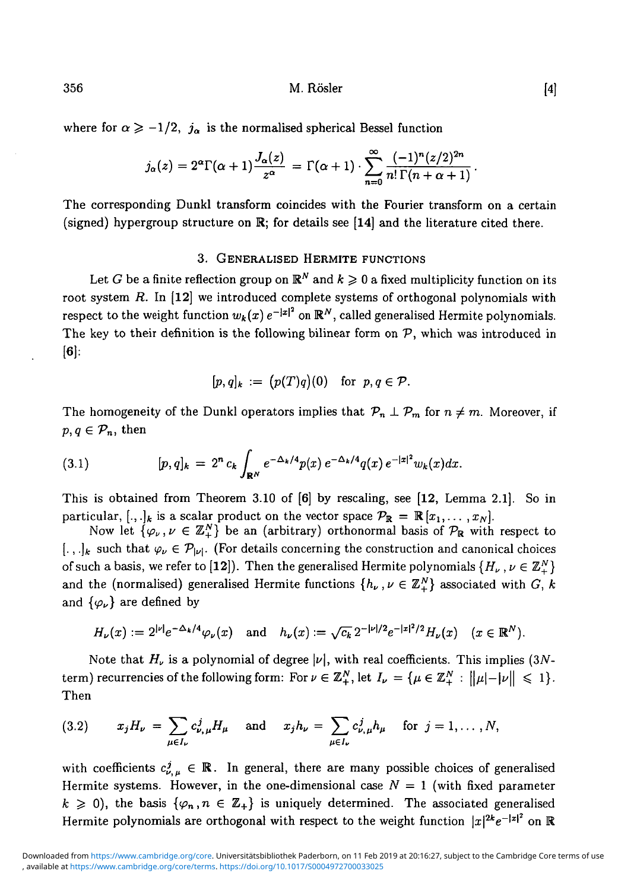356 M. Rösler [4]

where for  $\alpha \ge -1/2$ ,  $j_{\alpha}$  is the normalised spherical Bessel function

$$
j_{\alpha}(z)=2^{\alpha}\Gamma(\alpha+1)\frac{J_{\alpha}(z)}{z^{\alpha}}=\Gamma(\alpha+1)\cdot\sum_{n=0}^{\infty}\frac{(-1)^{n}(z/2)^{2n}}{n!\,\Gamma(n+\alpha+1)}.
$$

The corresponding Dunkl transform coincides with the Fourier transform on a certain (signed) hypergroup structure on  $\mathbb{R}$ ; for details see [14] and the literature cited there.

#### 3. GENERALISED HERMITE FUNCTIONS

Let  $G$  be a finite reflection group on  $\mathbb{R}^N$  and  $k\geqslant 0$  a fixed multiplicity function on its root system *R.* In [12] we introduced complete systems of orthogonal polynomials with respect to the weight function  $w_k(x)\,e^{-|x|^2}$  on  $\mathbb{R}^N,$  called generalised Hermite polynomials. The key to their definition is the following bilinear form on *V,* which was introduced in  $[6]$ :

$$
[p,q]_k := (p(T)q)(0) \text{ for } p,q \in \mathcal{P}.
$$

The homogeneity of the Dunkl operators implies that  $\mathcal{P}_n \perp \mathcal{P}_m$  for  $n \neq m$ . Moreover, if  $p, q \in \mathcal{P}_n$ , then

(3.1) 
$$
[p,q]_k = 2^n c_k \int_{\mathbf{R}^N} e^{-\Delta_k/4} p(x) e^{-\Delta_k/4} q(x) e^{-|x|^2} w_k(x) dx.
$$

This is obtained from Theorem 3.10 of [6] by rescaling, see [12, Lemma 2.1]. So in particular,  $[.,.]_k$  is a scalar product on the vector space  $\mathcal{P}_\mathbb{R} = \mathbb{R}[x_1, \ldots, x_N].$ 

Now let  $\{\varphi_\nu, \nu \in \mathbb{Z}_+^N\}$  be an (arbitrary) orthonormal basis of  $\mathcal{P}_\mathbb{R}$  with respect to  $[., .]_k$  such that  $\varphi_\nu \in \mathcal{P}_{|\nu|}$ . (For details concerning the construction and canonical choices of such a basis, we refer to [12]). Then the generalised Hermite polynomials  $\{H_{\nu}, \nu \in \mathbb{Z}_{+}^{N}\}\$ and the (normalised) generalised Hermite functions  $\{h_{\nu}, \nu \in \mathbb{Z}_{+}^{N}\}\$  associated with *G*, *k* and  $\{\varphi_{\nu}\}$  are defined by

$$
H_{\nu}(x) := 2^{|\nu|} e^{-\Delta_{k}/4} \varphi_{\nu}(x) \quad \text{and} \quad h_{\nu}(x) := \sqrt{c_{k}} 2^{-|\nu|/2} e^{-|x|^{2}/2} H_{\nu}(x) \quad (x \in \mathbb{R}^{N}).
$$

Note that  $H_\nu$  is a polynomial of degree  $|\nu|$ , with real coefficients. This implies (3Nterm) recurrencies of the following form: For  $\nu \in \mathbb{Z}^N_+$ , let  $I_{\nu} = {\{\mu \in \mathbb{Z}^N_+ : ||\mu|-|\nu|| \leq 1\}}$ . Then

(3.2) 
$$
x_j H_{\nu} = \sum_{\mu \in I_{\nu}} c_{\nu,\mu}^j H_{\mu}
$$
 and  $x_j h_{\nu} = \sum_{\mu \in I_{\nu}} c_{\nu,\mu}^j h_{\mu}$  for  $j = 1, ..., N$ ,

with coefficients  $c^j_{\nu,\mu} \in \mathbb{R}$ . In general, there are many possible choices of generalised Hermite systems. However, in the one-dimensional case  $N = 1$  (with fixed parameter  $k \geq 0$ , the basis  $\{\varphi_n, n \in \mathbb{Z}_+\}$  is uniquely determined. The associated generalised Hermite polynomials are orthogonal with respect to the weight function  $|x|^{2k}e^{-|x|^2}$  on  $\R$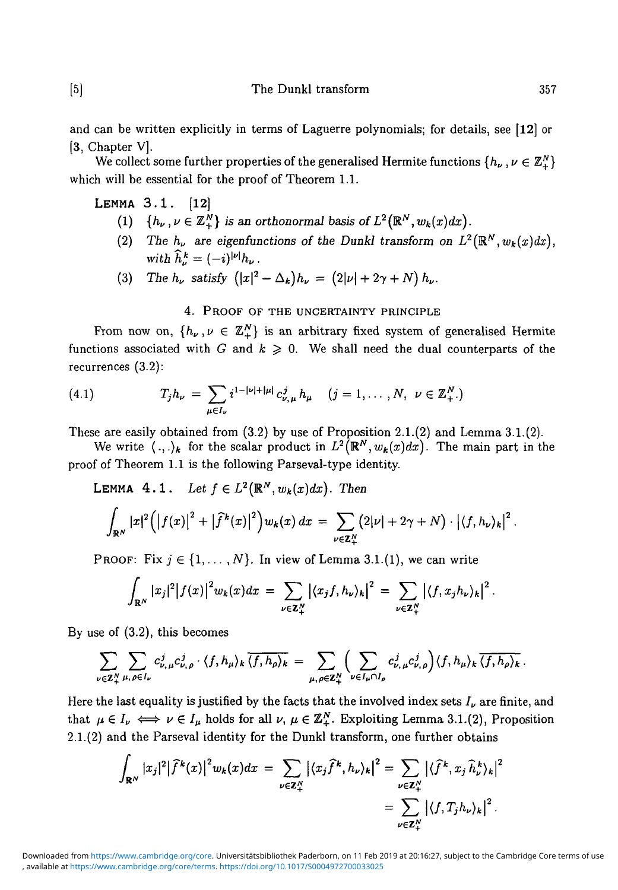and can be written explicitly in terms of Laguerre polynomials; for details, see [12] or [3, Chapter V].

We collect some further properties of the generalised Hermite functions  $\{h_{\nu}, \nu \in \mathbb{Z}_{+}^{N}\}\$ which will be essential for the proof of Theorem 1.1.

LEMMA 3.1. [12]

- (1)  $\{h_\nu,\nu\in\mathbb{Z}_{+}^N\}$  is an orthonormal basis of  $L^2(\mathbb{R}^N,w_k(x)dx)$ .
- (2) The  $h_{\nu}$  are eigenfunctions of the Dunkl transform on  $L^2(\mathbb{R}^N, w_k(x)dx)$ , *with*  $\hat{h}^k = (-i)^{|\nu|} h_{\nu}$ .
- (3) The  $h_{\nu}$  satisfy  $(|x|^2 \Delta_k)h_{\nu} = (2|\nu| + 2\gamma + N) h_{\nu}$ .

# 4. PROOF OF THE UNCERTAINTY PRINCIPLE

From now on,  $\{h_{\nu}, \nu \in \mathbb{Z}_{+}^{N}\}\$ is an arbitrary fixed system of generalised Hermite functions associated with *G* and  $k \geq 0$ . We shall need the dual counterparts of the recurrences (3.2):

(4.1) 
$$
T_j h_{\nu} = \sum_{\mu \in I_{\nu}} i^{1-|\nu|+|\mu|} c_{\nu,\mu}^j h_{\mu} \quad (j = 1, ..., N, \ \nu \in \mathbb{Z}_+^N.)
$$

These are easily obtained from  $(3.2)$  by use of Proposition 2.1. $(2)$  and Lemma 3.1. $(2)$ .

We write  $\langle ., . \rangle_k$  for the scalar product in  $L^2(\mathbb{R}^N, w_k(x)dx)$ . The main part in the proof of Theorem 1.1 is the following Parseval-type identity.

LEMMA  $4 \cdot 1$ . Let  $f \in L^2(\mathbb{R}^N, w_k(x)dx)$ . Then

$$
\int_{\mathbb{R}^N} |x|^2 \Big( \big|f(x)\big|^2 + \big|\widehat{f}^k(x)\big|^2 \Big) w_k(x) \, dx = \sum_{\nu \in \mathbb{Z}_+^N} \big( 2|\nu| + 2\gamma + N \big) \cdot \big| \langle f, h_\nu \rangle_k \big|^2 \, .
$$

PROOF: Fix  $j \in \{1, \ldots, N\}$ . In view of Lemma 3.1.(1), we can write

$$
\int_{\mathbb{R}^N} |x_j|^2 |f(x)|^2 w_k(x) dx = \sum_{\nu \in \mathbb{Z}_+^N} |\langle x_j f, h_\nu \rangle_k|^2 = \sum_{\nu \in \mathbb{Z}_+^N} |\langle f, x_j h_\nu \rangle_k|^2.
$$

By use of (3.2), this becomes

$$
\sum_{\nu \in \mathbb{Z}_{+}^{N}} \sum_{\mu, \rho \in I_{\nu}} c_{\nu, \mu}^{j} c_{\nu, \rho}^{j} \cdot \langle f, h_{\mu} \rangle_{k} \overline{\langle f, h_{\rho} \rangle_{k}} = \sum_{\mu, \rho \in \mathbb{Z}_{+}^{N}} \Biggl( \sum_{\nu \in I_{\mu} \cap I_{\rho}} c_{\nu, \mu}^{j} c_{\nu, \rho}^{j} \Biggr) \langle f, h_{\mu} \rangle_{k} \overline{\langle f, h_{\rho} \rangle_{k}}.
$$

Here the last equality is justified by the facts that the involved index sets  $I_{\nu}$  are finite, and that  $\mu \in I_\nu \iff \nu \in I_\mu$  holds for all  $\nu, \mu \in \mathbb{Z}_+^N$ . Exploiting Lemma 3.1.(2), Proposition 2.1.(2) and the Parseval identity for the Dunkl transform, one further obtains

$$
\int_{\mathbf{R}^N} |x_j|^2 |\widehat{f}^k(x)|^2 w_k(x) dx = \sum_{\nu \in \mathbb{Z}_+^N} |\langle x_j \widehat{f}^k, h_\nu \rangle_k|^2 = \sum_{\nu \in \mathbb{Z}_+^N} |\langle \widehat{f}^k, x_j \widehat{h}^k_\nu \rangle_k|^2
$$

$$
= \sum_{\nu \in \mathbb{Z}_+^N} |\langle f, T_j h_\nu \rangle_k|^2.
$$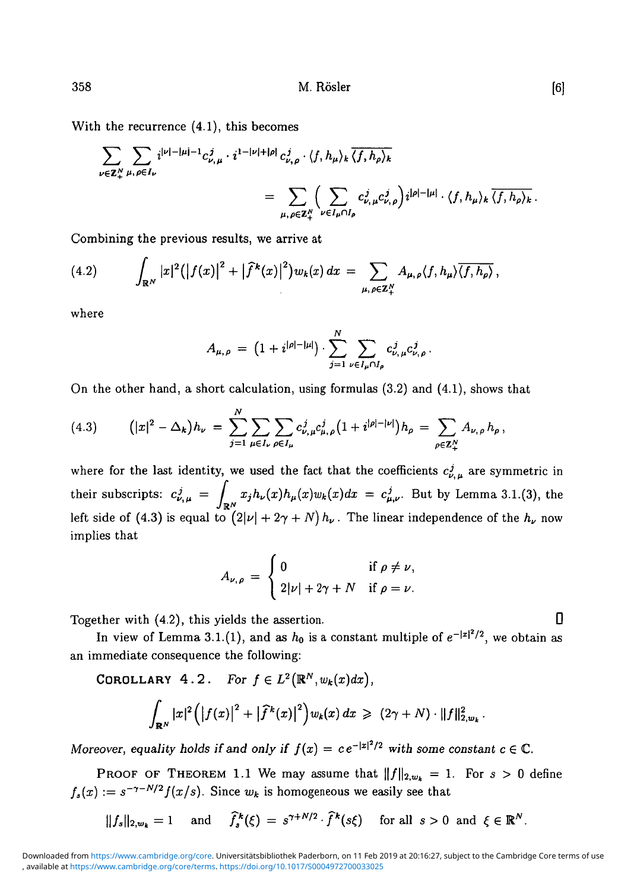With the recurrence (4.1), this becomes

$$
\begin{split} \sum_{\nu\in\mathbf{Z}_{+}^{N}}&\sum_{\mu,\,\rho\in I_{\nu}}i^{|\nu|-|\mu|-1}c_{\nu,\,\mu}^{j}\cdot i^{1-|\nu|+|\rho|}\,c_{\nu,\,\rho}^{j}\cdot\langle f,h_{\mu}\rangle_{k}\,\overline{\langle f,h_{\rho}\rangle_{k}}\\ &=\sum_{\mu,\,\rho\in\mathbf{Z}_{+}^{N}}\Big(\sum_{\nu\in I_{\mu}\cap I_{\rho}}c_{\nu,\,\mu}^{j}c_{\nu,\,\rho}^{j}\Big)i^{|\rho|-|\mu|}\cdot\langle f,h_{\mu}\rangle_{k}\,\overline{\langle f,h_{\rho}\rangle_{k}}\,. \end{split}
$$

Combining the previous results, we arrive at

$$
(4.2) \qquad \int_{\mathbb{R}^N} |x|^2 (|f(x)|^2 + |\widehat{f}^k(x)|^2) w_k(x) \, dx = \sum_{\mu, \rho \in \mathbb{Z}_+^N} A_{\mu, \rho} \langle f, h_\mu \rangle \overline{\langle f, h_\rho \rangle} \,,
$$

where

$$
A_{\mu,\rho} = (1 + i^{|\rho| - |\mu|}) \cdot \sum_{j=1}^{N} \sum_{\nu \in I_{\mu} \cap I_{\rho}} c_{\nu,\mu}^{j} c_{\nu,\rho}^{j}
$$

On the other hand, a short calculation, using formulas (3.2) and (4.1), shows that

(4.3) 
$$
(|x|^2 - \Delta_k)h_{\nu} = \sum_{j=1}^N \sum_{\mu \in I_{\nu}} \sum_{\rho \in I_{\mu}} c^j_{\nu,\mu} c^j_{\mu,\rho} (1 + i^{|\rho| - |\nu|}) h_{\rho} = \sum_{\rho \in \mathbb{Z}_+^N} A_{\nu,\rho} h_{\rho},
$$

where for the last identity, we used the fact that the coefficients  $c^j_{\nu,\mu}$  are symmetric in their subscripts:  $c_{\nu,\mu}^j = \int_{\mathbb{R}^N} x_j h_{\nu}(x) h_{\mu}(x) w_k(x) dx = c_{\mu,\nu}^j$ . But by Lemma 3.1.(3), the left side of (4.3) is equal to  $(2|\nu| + 2\gamma + N) h_{\nu}$ . The linear independence of the  $h_{\nu}$  now implies that

$$
A_{\nu,\rho} = \begin{cases} 0 & \text{if } \rho \neq \nu, \\ 2|\nu| + 2\gamma + N & \text{if } \rho = \nu. \end{cases}
$$

Together with  $(4.2)$ , this yields the assertion.  $\Box$ 

In view of Lemma 3.1.(1), and as  $h_0$  is a constant multiple of  $e^{-|x|^2/2}$ , we obtain as an immediate consequence the following:

COROLLARY  $4 \cdot 2$ . For  $f \in L^2(\mathbb{R}^N, w_k(x) dx)$ ,

$$
\int_{\mathbf{R}^N} |x|^2 (|f(x)|^2 + |\widehat{f}^k(x)|^2) w_k(x) dx \geq (2\gamma + N) \cdot ||f||_{2,\omega_k}^2.
$$

*Moreover, equality holds if and only if*  $f(x) = ce^{-|x|^2/2}$  with some constant  $c \in \mathbb{C}$ .

PROOF OF THEOREM 1.1 We may assume that  $||f||_{2,w_k} = 1$ . For  $s > 0$  define  $f_s(x) := s^{-\gamma - N/2} f(x/s)$ . Since  $w_k$  is homogeneous we easily see that

$$
||f_s||_{2,w_k} = 1
$$
 and  $\widehat{f}_s^k(\xi) = s^{\gamma + N/2} \cdot \widehat{f}^k(s\xi)$  for all  $s > 0$  and  $\xi \in \mathbb{R}^N$ .

<sup>,</sup> available at <https://www.cambridge.org/core/terms>. <https://doi.org/10.1017/S0004972700033025> Downloaded from [https://www.cambridge.org/core.](https://www.cambridge.org/core) Universitätsbibliothek Paderborn, on 11 Feb 2019 at 20:16:27, subject to the Cambridge Core terms of use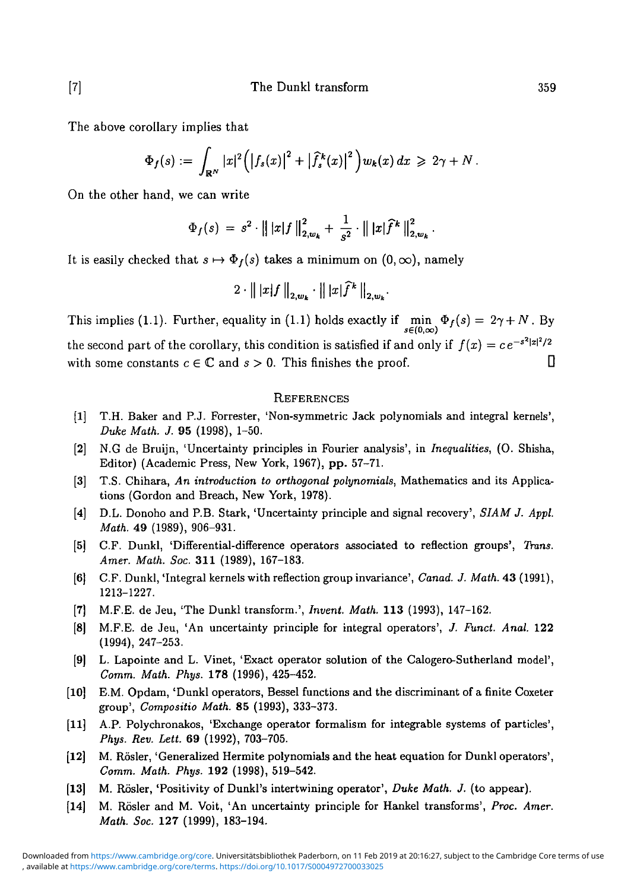The above corollary implies that

$$
\Phi_f(s) := \int_{\mathbb{R}^N} |x|^2 \Big( \big|f_s(x)\big|^2 + \big|\widehat{f}_s^k(x)\big|^2 \Big) w_k(x) \, dx \geq 2\gamma + N \, .
$$

On the other hand, we can write

$$
\Phi_f(s) = s^2 \cdot || |x| f ||_{2,w_k}^2 + \frac{1}{s^2} \cdot || |x| \widehat{f}^k ||_{2,w_k}^2.
$$

It is easily checked that  $s \mapsto \Phi_f(s)$  takes a minimum on  $(0, \infty)$ , namely

$$
2 \cdot \left\| |x| f \right\|_{2,w_k} \cdot \left\| |x| \widehat{f}^k \right\|_{2,w_k}.
$$

This implies (1.1). Further, equality in (1.1) holds exactly if  $\min_{s \in (0,\infty)} \Phi_f(s) = 2\gamma + N$ . By the second part of the corollary, this condition is satisfied if and only if  $f(x) = ce^{-s^2|x|^2/2}$ with some constants  $c \in \mathbb{C}$  and  $s > 0$ . This finishes the proof.

#### **REFERENCES**

- [1] T.H. Baker and P.J. Forrester, 'Non-symmetric Jack polynomials and integral kernels', *Duke Math. J.* 95 (1998), 1-50.
- [2] N.G de Bruijn, 'Uncertainty principles in Fourier analysis', in *Inequalities,* (O. Shisha, Editor) (Academic Press, New York, 1967), pp. 57-71.
- [3] T.S. Chihara, *An introduction to orthogonal polynomials,* Mathematics and its Applications (Gordon and Breach, New York, 1978).
- [4] D.L. Donoho and P.B. Stark, 'Uncertainty principle and signal recovery', *SIAM J. Appl. Math.* 49 (1989), 906-931.
- [5] C.F. Dunkl, 'Differential-difference operators associated to reflection groups', *Trans. Amer. Math. Soc.* **311** (1989), 167-183.
- [6] C.F. Dunkl, 'Integral kernels with reflection group invariance', *Canad. J. Math.* 43 (1991), 1213-1227.
- [7] M.F.E. de Jeu, 'The Dunkl transform.', *Invent. Math.* **113** (1993), 147-162.
- [8] M.F.E. de Jeu, 'An uncertainty principle for integral operators', *J. Fund. Anal.* 122
- [9] L. Lapointe and L. Vinet, 'Exact operator solution of the Calogero-Sutherland model', Comm. Math. Phys. 178 (1996), 425-452.
- $\left[10\right]$ E.M. Opdam, 'Dunkl operators, Bessel functions and the discriminant of a finite Coxeter group', Compositio Math. 85 (1993), 333-373.
- $[11]$ A.P. Polychronakos, 'Exchange operator formalism for integrable systems of particles', Phys. Rev. Lett. 69 (1992), 703-705.
- *M. Rösler, 'Generalized Hermite polynomials and the heat equation for Dunkl operators',*  $\vert 12 \vert$ Comm. Math. Phys. 192 (1998), 519-542.
- *M.* Rösler, 'Positivity of Dunkl's intertwining operator', *Duke Math. J.* (to appear).  $\vert 13 \vert$
- [14] M. Rösler and M. Voit, 'An uncertainty principle for Hankel transforms', *Proc. Amer. Math. Soc.* 127 (1999), 183-194.